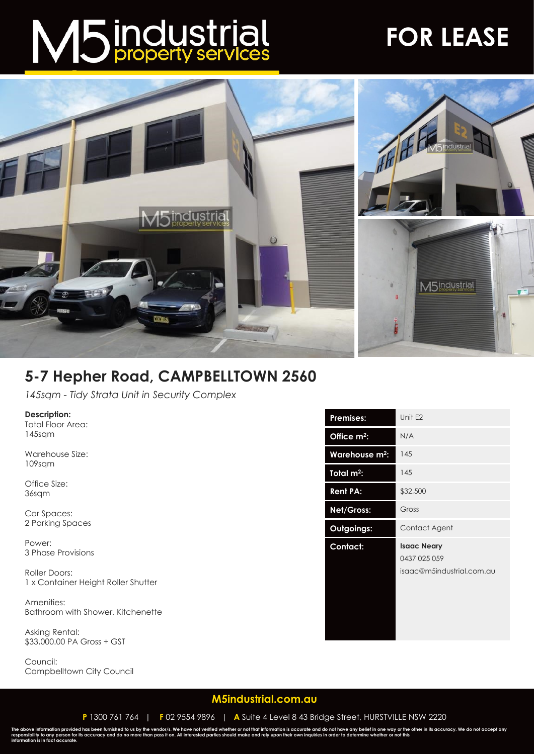# M5 industrial

### **FOR LEASE**



#### **5-7 Hepher Road, CAMPBELLTOWN 2560**

*145sqm - Tidy Strata Unit in Security Complex*

**Description:**

Total Floor Area: 145sqm

Warehouse Size: 109sqm

Office Size: 36sqm

Car Spaces: 2 Parking Spaces

Power: 3 Phase Provisions

Roller Doors: 1 x Container Height Roller Shutter

Amenities: Bathroom with Shower, Kitchenette

Asking Rental: \$33,000.00 PA Gross + GST

Council: Campbelltown City Council

| <b>Premises:</b>           | Unit E2                                                         |
|----------------------------|-----------------------------------------------------------------|
| Office m <sup>2</sup> :    | N/A                                                             |
| Warehouse m <sup>2</sup> : | 145                                                             |
| Total $m^2$ :              | 145                                                             |
| <b>Rent PA:</b>            | \$32,500                                                        |
| Net/Gross:                 | Gross                                                           |
| Outgoings:                 | Contact Agent                                                   |
| <b>Contact:</b>            | <b>Isaac Neary</b><br>0437 025 059<br>isaac@m5industrial.com.au |

**[M5industrial.com.au](http://www.m5industrial.com.au/)**

**P** 1300 761 764 | **F** 02 9554 9896 | **A** Suite 4 Level 8 43 Bridge Street, HURSTVILLE NSW 2220

The above information provided has been furnished to us by the vendor/s. We have not verified whether or not that information is accurate and do not have any belief in one way or the other in its accuracy. We do not accept **information is in fact accurate.**